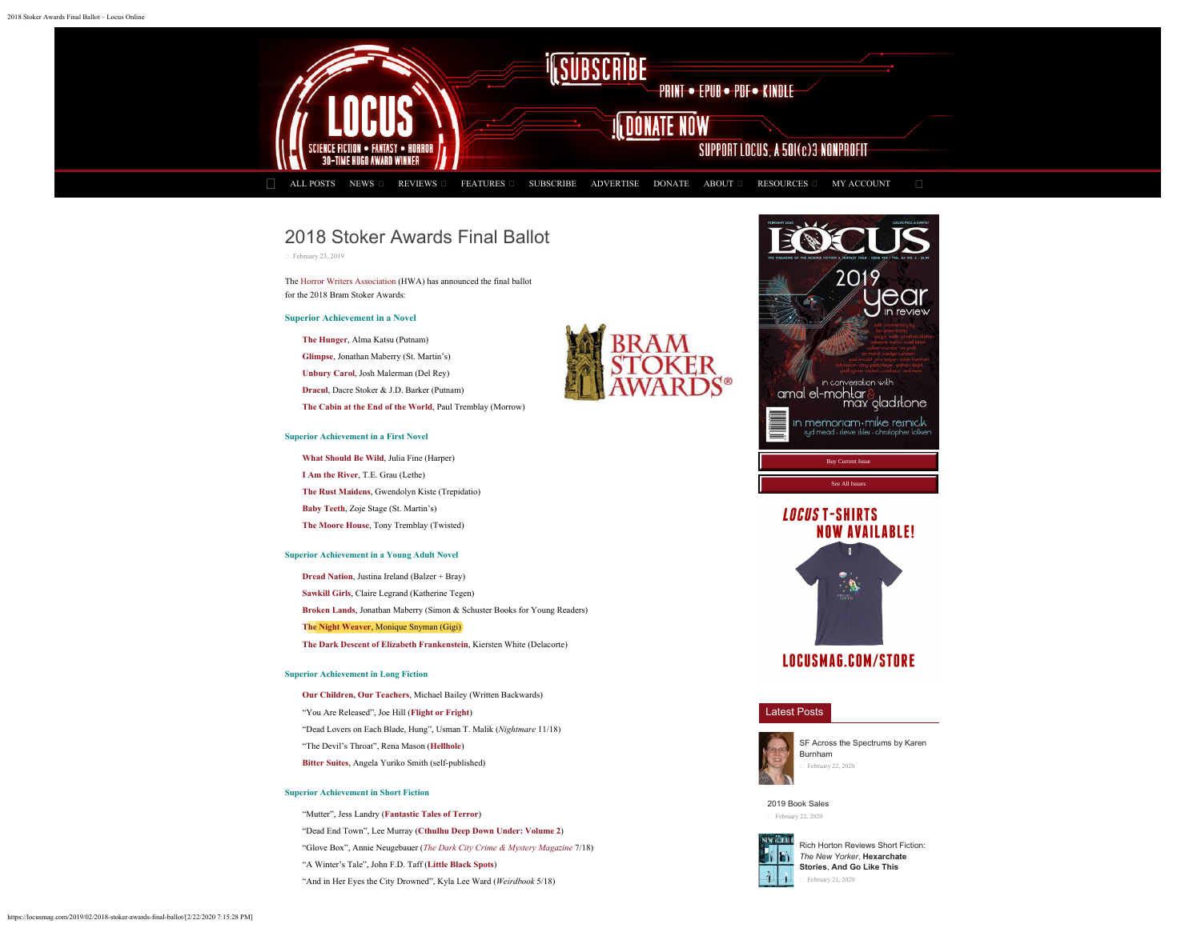<span id="page-0-0"></span>

# 2018 Stoker Awards Final Ballot

 [February 23, 2019](#page-0-0)

The [Horror Writers Association](http://horror.org/) (HWA) has announced the final ballot for the 2018 Bram Stoker Awards:

#### **Superior Achievement in a Novel**

**[The Hunger](https://www.amazon.com/dp/0735212511/?tag=locusmag06-20)**, Alma Katsu (Putnam)

**[Glimpse](https://www.amazon.com/dp/1250065267/?tag=locusmag06-20)**, Jonathan Maberry (St. Martin's)

**[Unbury Carol](https://www.amazon.com/dp/0399180168/?tag=locusmag06-20)**, Josh Malerman (Del Rey)

**[Dracul](https://www.amazon.com/dp/0735219346/?tag=locusmag06-20)**, Dacre Stoker & J.D. Barker (Putnam)

**[The Cabin at the End of the World](https://www.amazon.com/dp/0062679104/?tag=locusmag06-20)**, Paul Tremblay (Morrow)

#### **Superior Achievement in a First Novel**

**[What Should Be Wild](https://www.amazon.com/dp/0062684132/?tag=locusmag06-20)**, Julia Fine (Harper) **[I Am the River](https://www.amazon.com/dp/1590214455/?tag=locusmag06-20)**, T.E. Grau (Lethe) **[The Rust Maidens](https://www.amazon.com/dp/1947654446/?tag=locusmag06-20)**, Gwendolyn Kiste (Trepidatio) **[Baby Teeth](https://www.amazon.com/dp/1250170753/?tag=locusmag06-20)**, Zoje Stage (St. Martin's) **[The Moore House](https://www.amazon.com/dp/1949140997/?tag=locusmag06-20)**, Tony Tremblay (Twisted)

#### **Superior Achievement in a Young Adult Novel**

**[Dread Nation](https://www.amazon.com/dp/0062570609/?tag=locusmag06-20)**, Justina Ireland (Balzer + Bray)

**[Sawkill Girls](https://www.amazon.com/dp/0062696602/?tag=locusmag06-20)**, Claire Legrand (Katherine Tegen)

**[Broken Lands](https://www.amazon.com/dp/1534406379/?tag=locusmag06-20)**, Jonathan Maberry (Simon & Schuster Books for Young Readers)

**[The Night Weaver](https://www.amazon.com/dp/1643163035/?tag=locusmag06-20)**, Monique Snyman (Gigi)

**[The Dark Descent of Elizabeth Frankenstein](https://www.amazon.com/dp/0525577947/?tag=locusmag06-20)**, Kiersten White (Delacorte)

### **Superior Achievement in Long Fiction**

**[Our Children, Our Teachers](https://www.amazon.com/dp/0996149317/?tag=locusmag06-20)**, Michael Bailey (Written Backwards) "You Are Released", Joe Hill (**[Flight or Fright](https://www.amazon.com/dp/1587676796/?tag=locusmag06-20)**) "Dead Lovers on Each Blade, Hung", Usman T. Malik (*Nightmare* 11/18) "The Devil's Throat", Rena Mason (**[Hellhole](https://www.amazon.com/dp/1940095948/?tag=locusmag06-20)**) **[Bitter Suites](https://www.amazon.com/dp/1721546804/?tag=locusmag06-20)**, Angela Yuriko Smith (self-published)

# **Superior Achievement in Short Fiction**

"Mutter", Jess Landry (**[Fantastic Tales of Terror](https://www.amazon.com/dp/164467968X/?tag=locusmag06-20)**) "Dead End Town", Lee Murray (**[Cthulhu Deep Down Under: Volume 2](https://www.amazon.com/dp/1925759458/?tag=locusmag06-20)**) "Glove Box", Annie Neugebauer (*[The Dark City Crime & Mystery Magazine](http://www.thedarkcitymysterymagazine.com/glovebox.html)* 7/18) "A Winter's Tale", John F.D. Taff (**[Little Black Spots](https://www.amazon.com/dp/1940658845/?tag=locusmag06-20)**) "And in Her Eyes the City Drowned", Kyla Lee Ward (*Weirdbook* 5/18)







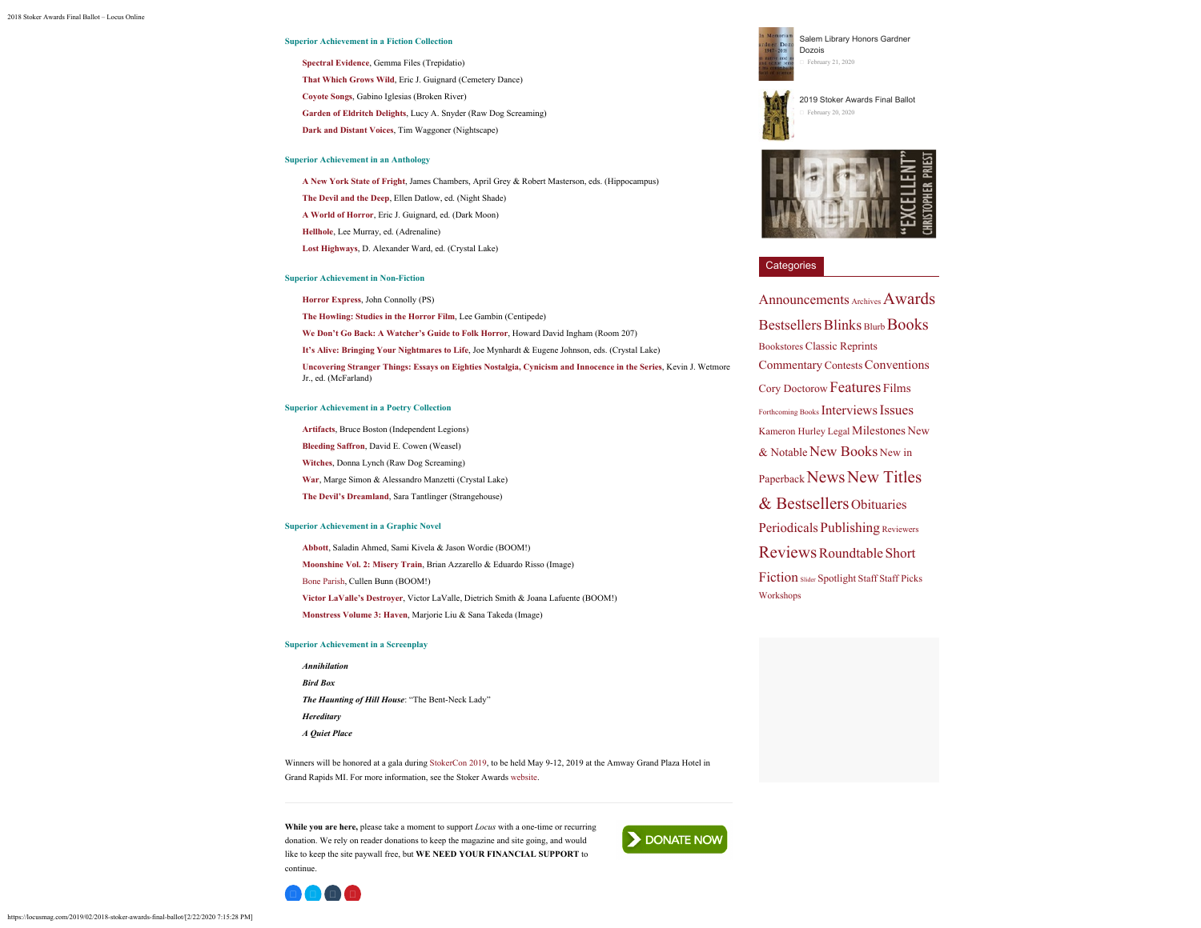#### **Superior Achievement in a Fiction Collection**

**[Spectral Evidence](https://www.amazon.com/dp/1947654187/?tag=locusmag06-20)**, Gemma Files (Trepidatio) **[That Which Grows Wild](https://www.amazon.com/dp/1949491072/?tag=locusmag06-20)**, Eric J. Guignard (Cemetery Dance) **[Coyote Songs](https://www.amazon.com/dp/1940885493/?tag=locusmag06-20)**, Gabino Iglesias (Broken River) **[Garden of Eldritch Delights](https://www.amazon.com/dp/1947879081/?tag=locusmag06-20)**, Lucy A. Snyder (Raw Dog Screaming) **[Dark and Distant Voices](https://www.amazon.com/dp/1938644255/?tag=locusmag06-20)**, Tim Waggoner (Nightscape)

#### **Superior Achievement in an Anthology**

**[A New York State of Fright](https://www.amazon.com/dp/B07MVFGCLJ/?tag=locusmag06-20)**, James Chambers, April Grey & Robert Masterson, eds. (Hippocampus) **[The Devil and the Deep](https://www.amazon.com/dp/1597809071/?tag=locusmag06-20)**, Ellen Datlow, ed. (Night Shade) **[A World of Horror](https://www.amazon.com/dp/194949103X/?tag=locusmag06-20)**, Eric J. Guignard, ed. (Dark Moon) **[Hellhole](https://www.amazon.com/dp/1940095948/?tag=locusmag06-20)**, Lee Murray, ed. (Adrenaline) **[Lost Highways](https://www.amazon.com/dp/1643704729/?tag=locusmag06-20)**, D. Alexander Ward, ed. (Crystal Lake)

#### **Superior Achievement in Non-Fiction**

**[Horror Express](https://www.amazon.com/dp/1786364093/?tag=locusmag06-20)**, John Connolly (PS)

**[The Howling: Studies in the Horror Film](http://www.centipedepress.com/studieshorror/howling.html)**, Lee Gambin (Centipede)

**[We Don't Go Back: A Watcher's Guide to Folk Horror](https://www.amazon.com/dp/1722748818/?tag=locusmag06-20)**, Howard David Ingham (Room 207)

**[It's Alive: Bringing Your Nightmares to Life](https://www.amazon.com/dp/1684545455/?tag=locusmag06-20)**, Joe Mynhardt & Eugene Johnson, eds. (Crystal Lake)

**[Uncovering Stranger Things: Essays on Eighties Nostalgia, Cynicism and Innocence in the Series](https://www.amazon.com/dp/1476671869/?tag=locusmag06-20)**, Kevin J. Wetmore Jr., ed. (McFarland)

#### **Superior Achievement in a Poetry Collection**

**[Artifacts](https://www.amazon.com/dp/8831959069/?tag=locusmag06-20)**, Bruce Boston (Independent Legions) **[Bleeding Saffron](https://www.amazon.com/dp/1948712121/?tag=locusmag06-20)**, David E. Cowen (Weasel) **[Witches](https://www.amazon.com/dp/1947879022/?tag=locusmag06-20)**, Donna Lynch (Raw Dog Screaming) **[War](https://www.amazon.com/dp/1643167715/?tag=locusmag06-20)**, Marge Simon & Alessandro Manzetti (Crystal Lake) **[The Devil's Dreamland](https://www.amazon.com/dp/1946335274/?tag=locusmag06-20)**, Sara Tantlinger (Strangehouse)

#### **Superior Achievement in a Graphic Novel**

**[Abbott](https://www.amazon.com/dp/1684152453/?tag=locusmag06-20)**, Saladin Ahmed, Sami Kivela & Jason Wordie (BOOM!) **[Moonshine Vol. 2: Misery Train](https://www.amazon.com/dp/153430827X/?tag=locusmag06-20)**, Brian Azzarello & Eduardo Risso (Image) [Bone Parish](https://www.amazon.com/dp/1684153549/?tag=locusmag06-20), Cullen Bunn (BOOM!) **[Victor LaValle's Destroyer](https://www.amazon.com/dp/1684150558/?tag=locusmag06-20)**, Victor LaValle, Dietrich Smith & Joana Lafuente (BOOM!) **[Monstress Volume 3: Haven](https://www.amazon.com/dp/1534306919/?tag=locusmag06-20)**, Marjorie Liu & Sana Takeda (Image)

#### **Superior Achievement in a Screenplay**

D O O O

*Annihilation Bird Box The Haunting of Hill House*: "The Bent-Neck Lady" *Hereditary A Quiet Place*

Winners will be honored at a gala during [StokerCon 2019](http://stokercon2019.org/), to be held May 9-12, 2019 at the Amway Grand Plaza Hotel in Grand Rapids MI. For more information, see the Stoker Awards [website](http://www.thebramstokerawards.com/).

**While you are here,** please take a moment to support *Locus* with a one-time or recurring donation. We rely on reader donations to keep the magazine and site going, and would like to keep the site paywall free, but **WE NEED YOUR FINANCIAL SUPPORT** to continue.



[Salem Library Honors Gardner](https://locusmag.com/2020/02/salem-library-honors-gardner-dozois/) [Dozois](https://locusmag.com/2020/02/salem-library-honors-gardner-dozois/) [February 21, 2020](https://locusmag.com/2020/02/salem-library-honors-gardner-dozois/)

[2019 Stoker Awards Final Ballot](https://locusmag.com/2020/02/2019-stoker-awards-final-ballot/) [February 20, 2020](https://locusmag.com/2020/02/2019-stoker-awards-final-ballot/)



## **Categories**

[Announcements](https://locusmag.com/category/news/announcements/) [Archives](https://locusmag.com/category/archives/)[Awards](https://locusmag.com/category/news/awards/) [Bestsellers](https://locusmag.com/category/newtitlesbestsellers/bestsellers/) [Blinks](https://locusmag.com/category/blinks/) Burb [Books](https://locusmag.com/category/reviews/books/) [Bookstores](https://locusmag.com/category/news/bookstores/) [Classic Reprints](https://locusmag.com/category/newtitlesbestsellers/classic-reprints/) [Commentary](https://locusmag.com/category/features/commentary/) [Contests](https://locusmag.com/category/news/contests/)[Conventions](https://locusmag.com/category/news/conventions/) [Cory Doctorow](https://locusmag.com/category/features/commentary/cory-doctorow/) [Features](https://locusmag.com/category/features/) [Films](https://locusmag.com/category/films/) [Forthcoming Books](https://locusmag.com/category/newtitlesbestsellers/forthcoming-books/) [Interviews](https://locusmag.com/category/features/interviews/)[Issues](https://locusmag.com/category/issues/) [Kameron Hurley](https://locusmag.com/category/features/commentary/kameron-hurley/) [Legal](https://locusmag.com/category/news/legal-2/) [Milestones](https://locusmag.com/category/news/milestones/) [New](https://locusmag.com/category/newtitlesbestsellers/new-and-notable/)  $&$  Notable [New Books](https://locusmag.com/category/newtitlesbestsellers/new-books/) [New in](https://locusmag.com/category/newtitlesbestsellers/new-in-paperback/) [Paperback](https://locusmag.com/category/newtitlesbestsellers/new-in-paperback/) [News](https://locusmag.com/category/news/) [New Titles](https://locusmag.com/category/newtitlesbestsellers/) [& Bestsellers](https://locusmag.com/category/newtitlesbestsellers/) [Obituaries](https://locusmag.com/category/news/obituaries/) [Periodicals](https://locusmag.com/category/newtitlesbestsellers/periodicals/) [Publishing](https://locusmag.com/category/news/publishing/) [Reviewers](https://locusmag.com/category/staff/reviewers/) [Reviews](https://locusmag.com/category/reviews/)[Roundtable](https://locusmag.com/category/features/commentary/roundtable/) [Short](https://locusmag.com/category/reviews/short-fiction/) [Fiction](https://locusmag.com/category/reviews/short-fiction/) slider [Spotlight](https://locusmag.com/category/features/spotlight/) [Staff](https://locusmag.com/category/staff/) [Staff Picks](https://locusmag.com/category/staff-picks/) [Workshops](https://locusmag.com/category/news/workshops/)

https://locusmag.com/2019/02/2018-stoker-awards-final-ballot/[2/22/2020 7:15:28 PM]